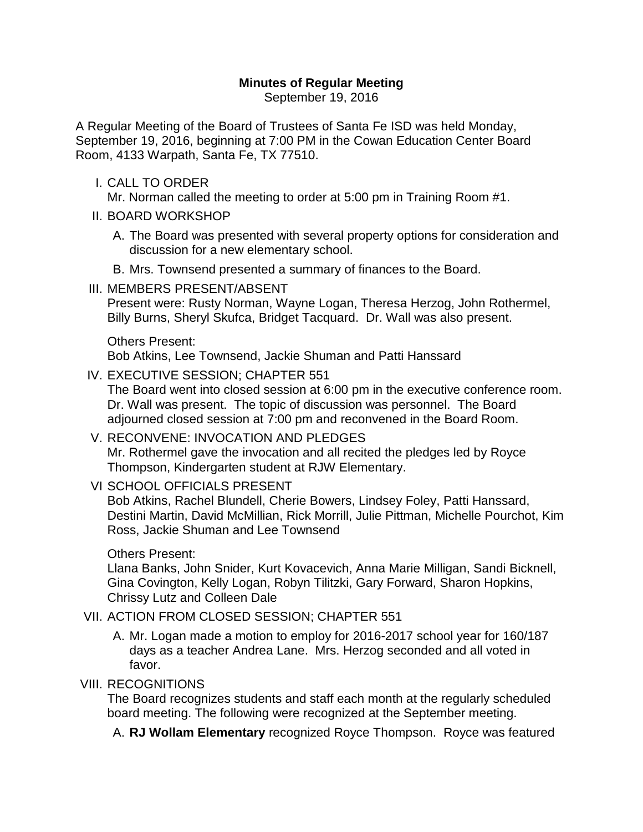## **Minutes of Regular Meeting**

September 19, 2016

A Regular Meeting of the Board of Trustees of Santa Fe ISD was held Monday, September 19, 2016, beginning at 7:00 PM in the Cowan Education Center Board Room, 4133 Warpath, Santa Fe, TX 77510.

I. CALL TO ORDER

Mr. Norman called the meeting to order at 5:00 pm in Training Room #1.

- II. BOARD WORKSHOP
	- A. The Board was presented with several property options for consideration and discussion for a new elementary school.
	- B. Mrs. Townsend presented a summary of finances to the Board.
- III. MEMBERS PRESENT/ABSENT

Present were: Rusty Norman, Wayne Logan, Theresa Herzog, John Rothermel, Billy Burns, Sheryl Skufca, Bridget Tacquard. Dr. Wall was also present.

#### Others Present:

Bob Atkins, Lee Townsend, Jackie Shuman and Patti Hanssard

IV. EXECUTIVE SESSION; CHAPTER 551

The Board went into closed session at 6:00 pm in the executive conference room. Dr. Wall was present. The topic of discussion was personnel. The Board adjourned closed session at 7:00 pm and reconvened in the Board Room.

- V. RECONVENE: INVOCATION AND PLEDGES Mr. Rothermel gave the invocation and all recited the pledges led by Royce Thompson, Kindergarten student at RJW Elementary.
- VI SCHOOL OFFICIALS PRESENT

Bob Atkins, Rachel Blundell, Cherie Bowers, Lindsey Foley, Patti Hanssard, Destini Martin, David McMillian, Rick Morrill, Julie Pittman, Michelle Pourchot, Kim Ross, Jackie Shuman and Lee Townsend

#### Others Present:

Llana Banks, John Snider, Kurt Kovacevich, Anna Marie Milligan, Sandi Bicknell, Gina Covington, Kelly Logan, Robyn Tilitzki, Gary Forward, Sharon Hopkins, Chrissy Lutz and Colleen Dale

### VII. ACTION FROM CLOSED SESSION; CHAPTER 551

A. Mr. Logan made a motion to employ for 2016-2017 school year for 160/187 days as a teacher Andrea Lane. Mrs. Herzog seconded and all voted in favor.

### VIII. RECOGNITIONS

The Board recognizes students and staff each month at the regularly scheduled board meeting. The following were recognized at the September meeting.

A. **RJ Wollam Elementary** recognized Royce Thompson. Royce was featured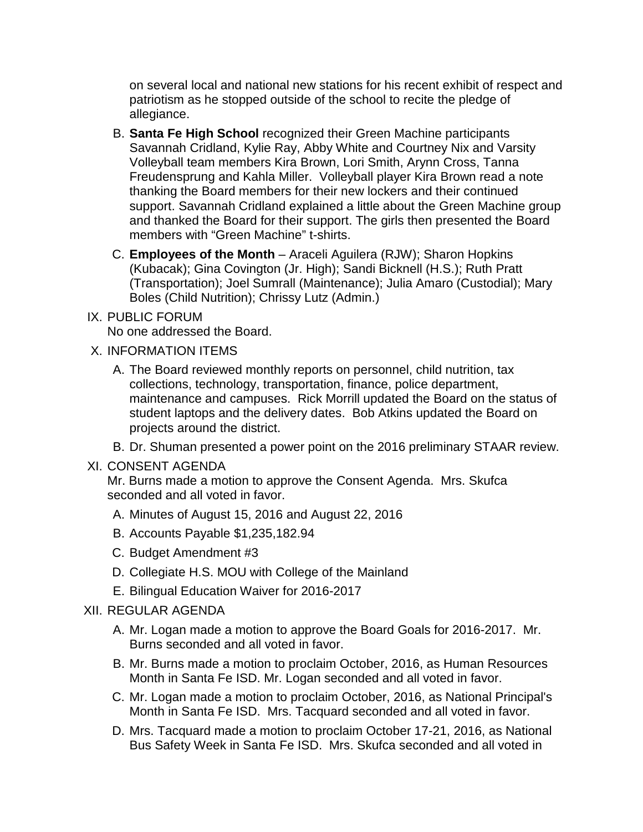on several local and national new stations for his recent exhibit of respect and patriotism as he stopped outside of the school to recite the pledge of allegiance.

- B. **Santa Fe High School** recognized their Green Machine participants Savannah Cridland, Kylie Ray, Abby White and Courtney Nix and Varsity Volleyball team members Kira Brown, Lori Smith, Arynn Cross, Tanna Freudensprung and Kahla Miller. Volleyball player Kira Brown read a note thanking the Board members for their new lockers and their continued support. Savannah Cridland explained a little about the Green Machine group and thanked the Board for their support. The girls then presented the Board members with "Green Machine" t-shirts.
- C. **Employees of the Month** Araceli Aguilera (RJW); Sharon Hopkins (Kubacak); Gina Covington (Jr. High); Sandi Bicknell (H.S.); Ruth Pratt (Transportation); Joel Sumrall (Maintenance); Julia Amaro (Custodial); Mary Boles (Child Nutrition); Chrissy Lutz (Admin.)
- IX. PUBLIC FORUM

No one addressed the Board.

- X. INFORMATION ITEMS
	- A. The Board reviewed monthly reports on personnel, child nutrition, tax collections, technology, transportation, finance, police department, maintenance and campuses. Rick Morrill updated the Board on the status of student laptops and the delivery dates. Bob Atkins updated the Board on projects around the district.
	- B. Dr. Shuman presented a power point on the 2016 preliminary STAAR review.

#### XI. CONSENT AGENDA

Mr. Burns made a motion to approve the Consent Agenda. Mrs. Skufca seconded and all voted in favor.

- A. Minutes of August 15, 2016 and August 22, 2016
- B. Accounts Payable \$1,235,182.94
- C. Budget Amendment #3
- D. Collegiate H.S. MOU with College of the Mainland
- E. Bilingual Education Waiver for 2016-2017

# XII. REGULAR AGENDA

- A. Mr. Logan made a motion to approve the Board Goals for 2016-2017. Mr. Burns seconded and all voted in favor.
- B. Mr. Burns made a motion to proclaim October, 2016, as Human Resources Month in Santa Fe ISD. Mr. Logan seconded and all voted in favor.
- C. Mr. Logan made a motion to proclaim October, 2016, as National Principal's Month in Santa Fe ISD. Mrs. Tacquard seconded and all voted in favor.
- D. Mrs. Tacquard made a motion to proclaim October 17-21, 2016, as National Bus Safety Week in Santa Fe ISD. Mrs. Skufca seconded and all voted in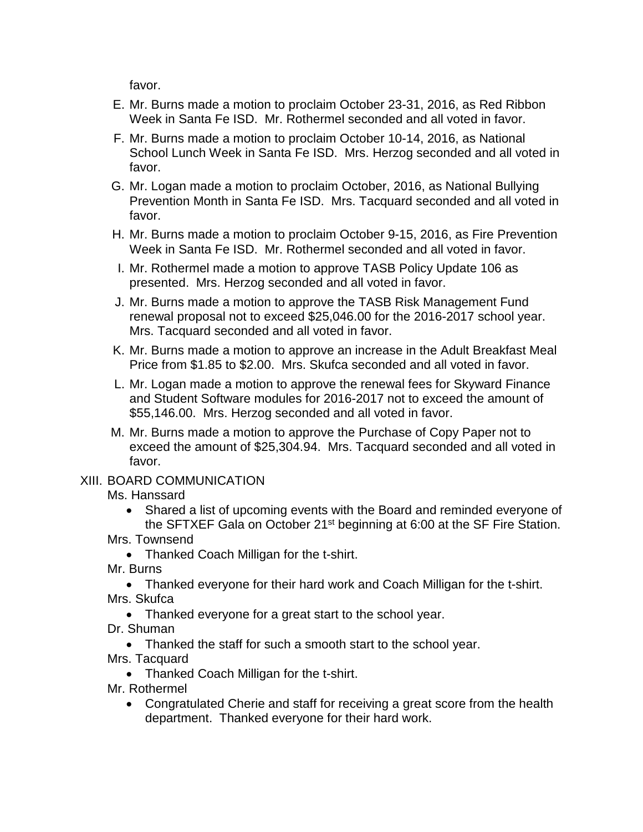favor.

- E. Mr. Burns made a motion to proclaim October 23-31, 2016, as Red Ribbon Week in Santa Fe ISD. Mr. Rothermel seconded and all voted in favor.
- F. Mr. Burns made a motion to proclaim October 10-14, 2016, as National School Lunch Week in Santa Fe ISD. Mrs. Herzog seconded and all voted in favor.
- G. Mr. Logan made a motion to proclaim October, 2016, as National Bullying Prevention Month in Santa Fe ISD. Mrs. Tacquard seconded and all voted in favor.
- H. Mr. Burns made a motion to proclaim October 9-15, 2016, as Fire Prevention Week in Santa Fe ISD. Mr. Rothermel seconded and all voted in favor.
- I. Mr. Rothermel made a motion to approve TASB Policy Update 106 as presented. Mrs. Herzog seconded and all voted in favor.
- J. Mr. Burns made a motion to approve the TASB Risk Management Fund renewal proposal not to exceed \$25,046.00 for the 2016-2017 school year. Mrs. Tacquard seconded and all voted in favor.
- K. Mr. Burns made a motion to approve an increase in the Adult Breakfast Meal Price from \$1.85 to \$2.00. Mrs. Skufca seconded and all voted in favor.
- L. Mr. Logan made a motion to approve the renewal fees for Skyward Finance and Student Software modules for 2016-2017 not to exceed the amount of \$55,146.00. Mrs. Herzog seconded and all voted in favor.
- M. Mr. Burns made a motion to approve the Purchase of Copy Paper not to exceed the amount of \$25,304.94. Mrs. Tacquard seconded and all voted in favor.

# XIII. BOARD COMMUNICATION

Ms. Hanssard

• Shared a list of upcoming events with the Board and reminded everyone of the SFTXEF Gala on October 21<sup>st</sup> beginning at 6:00 at the SF Fire Station.

Mrs. Townsend

• Thanked Coach Milligan for the t-shirt.

Mr. Burns

- Thanked everyone for their hard work and Coach Milligan for the t-shirt.
- Mrs. Skufca
	- Thanked everyone for a great start to the school year.
- Dr. Shuman
- Thanked the staff for such a smooth start to the school year.
- Mrs. Tacquard
	- Thanked Coach Milligan for the t-shirt.

Mr. Rothermel

• Congratulated Cherie and staff for receiving a great score from the health department. Thanked everyone for their hard work.